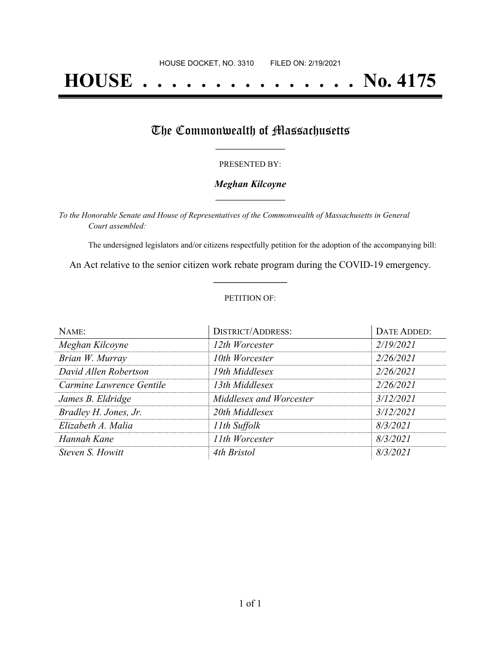# **HOUSE . . . . . . . . . . . . . . . No. 4175**

## The Commonwealth of Massachusetts

#### PRESENTED BY:

#### *Meghan Kilcoyne* **\_\_\_\_\_\_\_\_\_\_\_\_\_\_\_\_\_**

*To the Honorable Senate and House of Representatives of the Commonwealth of Massachusetts in General Court assembled:*

The undersigned legislators and/or citizens respectfully petition for the adoption of the accompanying bill:

An Act relative to the senior citizen work rebate program during the COVID-19 emergency. **\_\_\_\_\_\_\_\_\_\_\_\_\_\_\_**

#### PETITION OF:

| NAME:                    | <b>DISTRICT/ADDRESS:</b> | DATE ADDED: |
|--------------------------|--------------------------|-------------|
| Meghan Kilcoyne          | 12th Worcester           | 2/19/2021   |
| Brian W. Murray          | 10th Worcester           | 2/26/2021   |
| David Allen Robertson    | 19th Middlesex           | 2/26/2021   |
| Carmine Lawrence Gentile | 13th Middlesex           | 2/26/2021   |
| James B. Eldridge        | Middlesex and Worcester  | 3/12/2021   |
| Bradley H. Jones, Jr.    | 20th Middlesex           | 3/12/2021   |
| Elizabeth A. Malia       | 11th Suffolk             | 8/3/2021    |
| Hannah Kane              | 11th Worcester           | 8/3/2021    |
| Steven S. Howitt         | 4th Bristol              | 8/3/2021    |